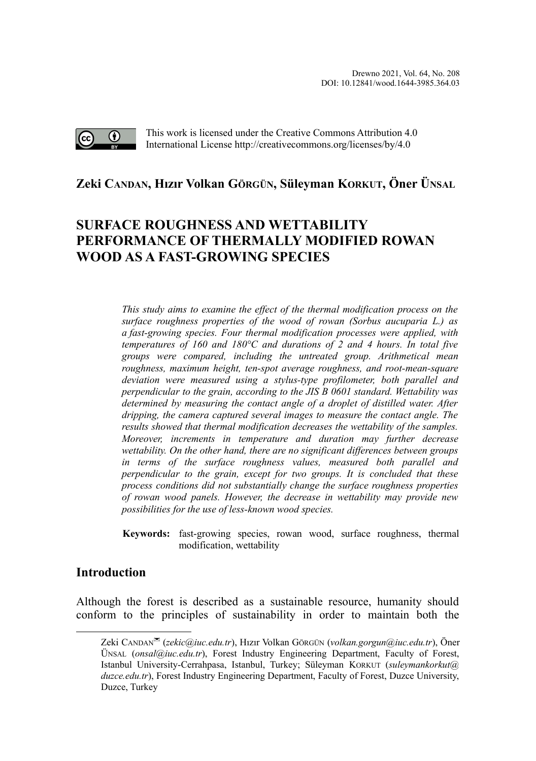

This work is licensed under the Creative Commons Attribution 4.0 International License http://creativecommons.org/licenses/by/4.0

## **Zeki CANDAN, Hızır Volkan GÖRGÜN, Süleyman KORKUT, Öner ÜNSA[L](#page-0-0)**

# **SURFACE ROUGHNESS AND WETTABILITY PERFORMANCE OF THERMALLY MODIFIED ROWAN WOOD AS A FAST-GROWING SPECIES**

*This study aims to examine the effect of the thermal modification process on the surface roughness properties of the wood of rowan (Sorbus aucuparia L.) as a fast-growing species. Four thermal modification processes were applied, with temperatures of 160 and 180°C and durations of 2 and 4 hours. In total five groups were compared, including the untreated group. Arithmetical mean roughness, maximum height, ten-spot average roughness, and root-mean-square deviation were measured using a stylus-type profilometer, both parallel and perpendicular to the grain, according to the JIS B 0601 standard. Wettability was determined by measuring the contact angle of a droplet of distilled water. After dripping, the camera captured several images to measure the contact angle. The results showed that thermal modification decreases the wettability of the samples. Moreover, increments in temperature and duration may further decrease wettability. On the other hand, there are no significant differences between groups in terms of the surface roughness values, measured both parallel and perpendicular to the grain, except for two groups. It is concluded that these process conditions did not substantially change the surface roughness properties of rowan wood panels. However, the decrease in wettability may provide new possibilities for the use of less-known wood species.*

**Keywords:** fast-growing species, rowan wood, surface roughness, thermal modification, wettability

### **Introduction**

Although the forest is described as a sustainable resource, humanity should conform to the principles of sustainability in order to maintain both the

<span id="page-0-0"></span>Zeki CANDAN (*zekic@iuc.edu.tr*), Hızır Volkan GÖRGÜN (*volkan.gorgun@iuc.edu.tr*), Öner ÜNSAL (*onsal@iuc.edu.tr*), Forest Industry Engineering Department, Faculty of Forest, Istanbul University-Cerrahpasa, Istanbul, Turkey; Süleyman KORKUT (*suleymankorkut@ duzce.edu.tr*), Forest Industry Engineering Department, Faculty of Forest, Duzce University, Duzce, Turkey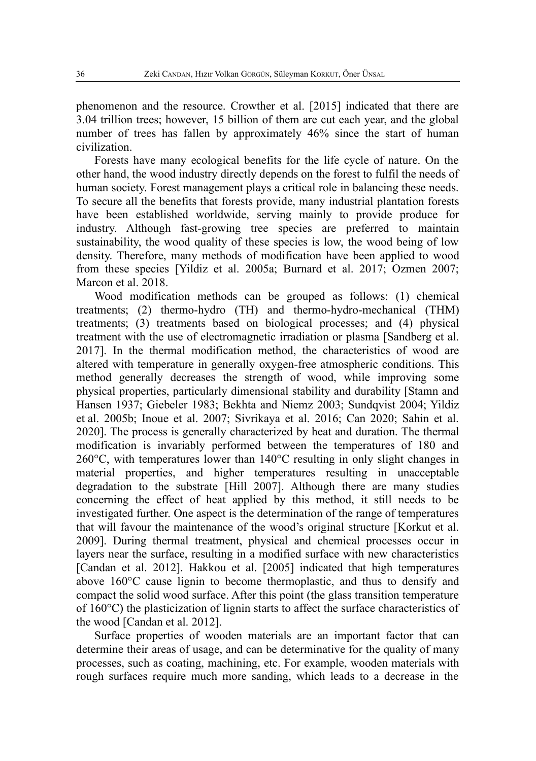phenomenon and the resource. Crowther et al. [2015] indicated that there are 3.04 trillion trees; however, 15 billion of them are cut each year, and the global number of trees has fallen by approximately 46% since the start of human civilization.

Forests have many ecological benefits for the life cycle of nature. On the other hand, the wood industry directly depends on the forest to fulfil the needs of human society. Forest management plays a critical role in balancing these needs. To secure all the benefits that forests provide, many industrial plantation forests have been established worldwide, serving mainly to provide produce for industry. Although fast-growing tree species are preferred to maintain sustainability, the wood quality of these species is low, the wood being of low density. Therefore, many methods of modification have been applied to wood from these species [Yildiz et al. 2005a; Burnard et al. 2017; Ozmen 2007; Marcon et al. 2018.

Wood modification methods can be grouped as follows: (1) chemical treatments; (2) thermo-hydro (TH) and thermo-hydro-mechanical (THM) treatments; (3) treatments based on biological processes; and (4) physical treatment with the use of electromagnetic irradiation or plasma [Sandberg et al. 2017]. In the thermal modification method, the characteristics of wood are altered with temperature in generally oxygen-free atmospheric conditions. This method generally decreases the strength of wood, while improving some physical properties, particularly dimensional stability and durability [Stamn and Hansen 1937; Giebeler 1983; Bekhta and Niemz 2003; Sundqvist 2004; Yildiz et al. 2005b; Inoue et al. 2007; Sivrikaya et al. 2016; Can 2020; Sahin et al. 2020]. The process is generally characterized by heat and duration. The thermal modification is invariably performed between the temperatures of 180 and 260°C, with temperatures lower than 140°C resulting in only slight changes in material properties, and higher temperatures resulting in unacceptable degradation to the substrate [Hill 2007]. Although there are many studies concerning the effect of heat applied by this method, it still needs to be investigated further. One aspect is the determination of the range of temperatures that will favour the maintenance of the wood's original structure [Korkut et al. 2009]. During thermal treatment, physical and chemical processes occur in layers near the surface, resulting in a modified surface with new characteristics [Candan et al. 2012]. Hakkou et al. [2005] indicated that high temperatures above 160°C cause lignin to become thermoplastic, and thus to densify and compact the solid wood surface. After this point (the glass transition temperature of 160°C) the plasticization of lignin starts to affect the surface characteristics of the wood [Candan et al. 2012].

Surface properties of wooden materials are an important factor that can determine their areas of usage, and can be determinative for the quality of many processes, such as coating, machining, etc. For example, wooden materials with rough surfaces require much more sanding, which leads to a decrease in the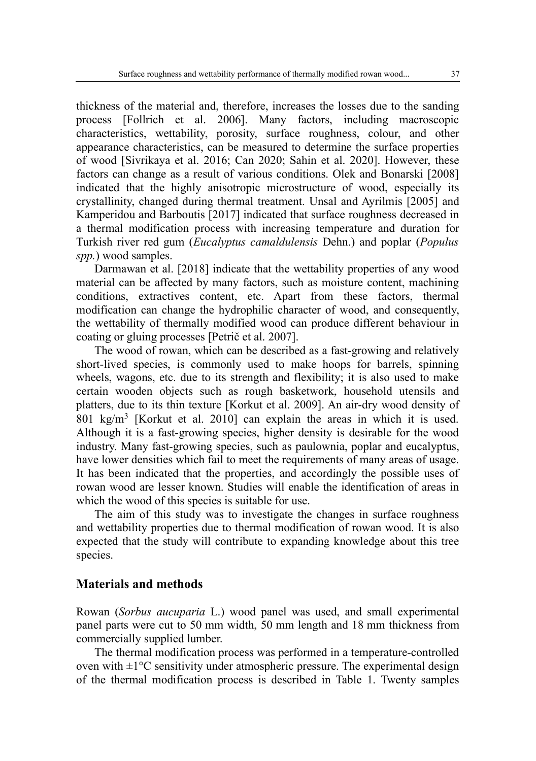thickness of the material and, therefore, increases the losses due to the sanding process [Follrich et al. 2006]. Many factors, including macroscopic characteristics, wettability, porosity, surface roughness, colour, and other appearance characteristics, can be measured to determine the surface properties of wood [Sivrikaya et al. 2016; Can 2020; Sahin et al. 2020]. However, these factors can change as a result of various conditions. Olek and Bonarski [2008] indicated that the highly anisotropic microstructure of wood, especially its crystallinity, changed during thermal treatment. Unsal and Ayrilmis [2005] and Kamperidou and Barboutis [2017] indicated that surface roughness decreased in a thermal modification process with increasing temperature and duration for Turkish river red gum (*Eucalyptus camaldulensis* Dehn.) and poplar (*Populus spp.*) wood samples.

Darmawan et al. [2018] indicate that the wettability properties of any wood material can be affected by many factors, such as moisture content, machining conditions, extractives content, etc. Apart from these factors, thermal modification can change the hydrophilic character of wood, and consequently, the wettability of thermally modified wood can produce different behaviour in coating or gluing processes [Petrič et al. 2007].

The wood of rowan, which can be described as a fast-growing and relatively short-lived species, is commonly used to make hoops for barrels, spinning wheels, wagons, etc. due to its strength and flexibility; it is also used to make certain wooden objects such as rough basketwork, household utensils and platters, due to its thin texture [Korkut et al. 2009]. An air-dry wood density of 801 kg/m<sup>3</sup> [Korkut et al. 2010] can explain the areas in which it is used. Although it is a fast-growing species, higher density is desirable for the wood industry. Many fast-growing species, such as paulownia, poplar and eucalyptus, have lower densities which fail to meet the requirements of many areas of usage. It has been indicated that the properties, and accordingly the possible uses of rowan wood are lesser known. Studies will enable the identification of areas in which the wood of this species is suitable for use.

The aim of this study was to investigate the changes in surface roughness and wettability properties due to thermal modification of rowan wood. It is also expected that the study will contribute to expanding knowledge about this tree species.

#### **Materials and methods**

Rowan (*Sorbus aucuparia* L.) wood panel was used, and small experimental panel parts were cut to 50 mm width, 50 mm length and 18 mm thickness from commercially supplied lumber.

The thermal modification process was performed in a temperature-controlled oven with  $\pm 1^{\circ}$ C sensitivity under atmospheric pressure. The experimental design of the thermal modification process is described in Table 1. Twenty samples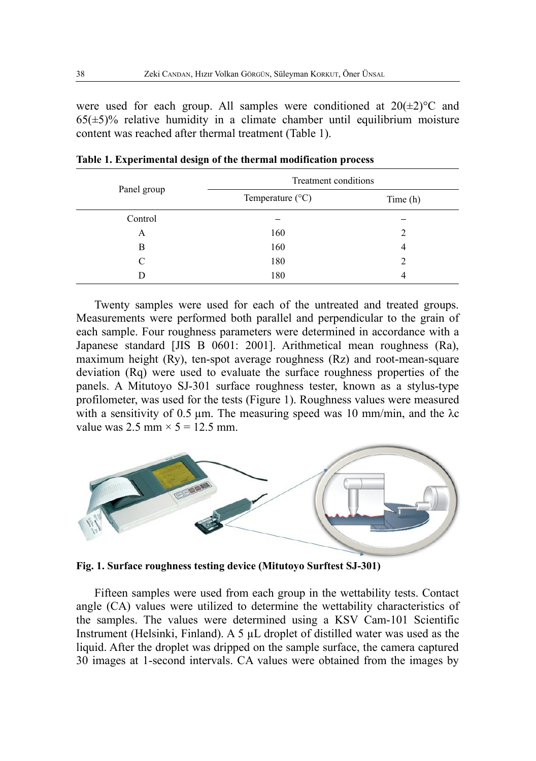were used for each group. All samples were conditioned at  $20(\pm 2)$ °C and  $65(\pm 5)\%$  relative humidity in a climate chamber until equilibrium moisture content was reached after thermal treatment (Table 1).

|             | Treatment conditions      |         |  |  |
|-------------|---------------------------|---------|--|--|
| Panel group | Temperature $(^{\circ}C)$ | Time(h) |  |  |
| Control     |                           |         |  |  |
| A           | 160                       |         |  |  |
| B           | 160                       | 4       |  |  |
| C           | 180                       | 2       |  |  |
|             | 180                       |         |  |  |

**Table 1. Experimental design of the thermal modification process**

Twenty samples were used for each of the untreated and treated groups. Measurements were performed both parallel and perpendicular to the grain of each sample. Four roughness parameters were determined in accordance with a Japanese standard [JIS B 0601: 2001]. Arithmetical mean roughness (Ra), maximum height (Ry), ten-spot average roughness (Rz) and root-mean-square deviation (Rq) were used to evaluate the surface roughness properties of the panels. A Mitutoyo SJ-301 surface roughness tester, known as a stylus-type profilometer, was used for the tests (Figure 1). Roughness values were measured with a sensitivity of 0.5  $\mu$ m. The measuring speed was 10 mm/min, and the  $\lambda$ c value was  $2.5$  mm  $\times$   $5 = 12.5$  mm.



**Fig. 1. Surface roughness testing device (Mitutoyo Surftest SJ-301)**

Fifteen samples were used from each group in the wettability tests. Contact angle (CA) values were utilized to determine the wettability characteristics of the samples. The values were determined using a KSV Cam-101 Scientific Instrument (Helsinki, Finland). A 5 µL droplet of distilled water was used as the liquid. After the droplet was dripped on the sample surface, the camera captured 30 images at 1-second intervals. CA values were obtained from the images by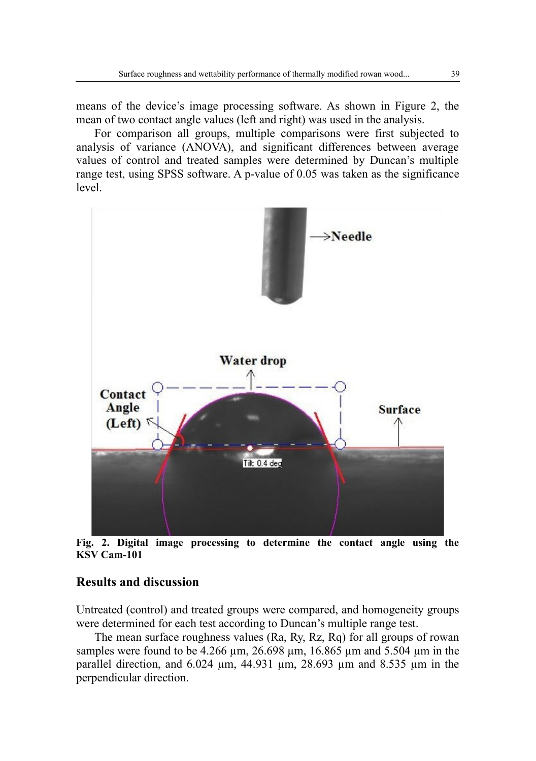means of the device's image processing software. As shown in Figure 2, the mean of two contact angle values (left and right) was used in the analysis.

For comparison all groups, multiple comparisons were first subjected to analysis of variance (ANOVA), and significant differences between average values of control and treated samples were determined by Duncan's multiple range test, using SPSS software. A p-value of 0.05 was taken as the significance level.



**Fig. 2. Digital image processing to determine the contact angle using the KSV Cam-101**

#### **Results and discussion**

Untreated (control) and treated groups were compared, and homogeneity groups were determined for each test according to Duncan's multiple range test.

The mean surface roughness values (Ra, Ry, Rz, Rq) for all groups of rowan samples were found to be  $4.266 \mu m$ ,  $26.698 \mu m$ ,  $16.865 \mu m$  and  $5.504 \mu m$  in the parallel direction, and 6.024 µm, 44.931 µm, 28.693 µm and 8.535 µm in the perpendicular direction.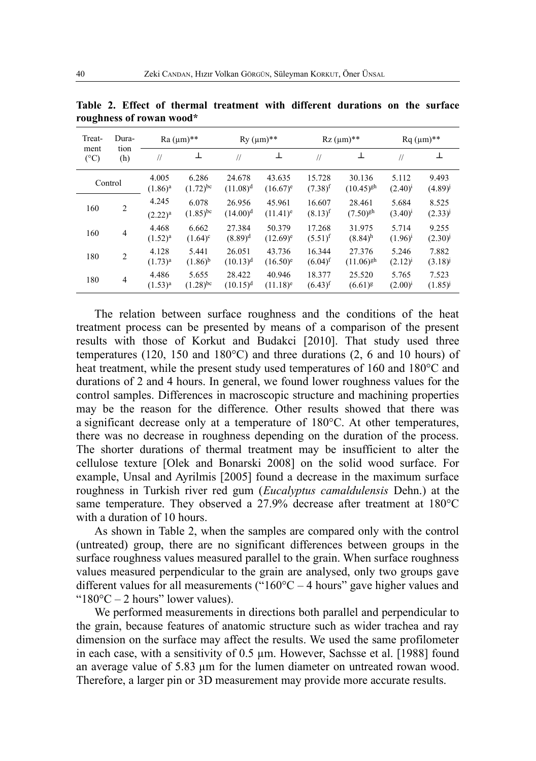| Treat-<br>Dura-<br>tion<br>ment<br>$(^{\circ}C)$<br>(h) | $Ra (µm)**$    |                       | $Ry$ ( $\mu$ m)**      |                       |                       | $Rz$ (µm)**                     |                                 | $Rq \, (\mu m)^{**}$  |                                |
|---------------------------------------------------------|----------------|-----------------------|------------------------|-----------------------|-----------------------|---------------------------------|---------------------------------|-----------------------|--------------------------------|
|                                                         |                | $\frac{1}{2}$         | 丄                      | $\frac{1}{2}$         | ⊥                     | $\frac{1}{2}$                   | ⊥                               | $\frac{1}{2}$         | 工                              |
| Control                                                 |                | 4.005<br>$(1.86)^a$   | 6.286<br>$(1.72)^{bc}$ | 24.678<br>$(11.08)^d$ | 43.635<br>$(16.67)^e$ | 15.728<br>$(7.38)$ <sup>f</sup> | 30.136<br>$(10.45)^{gh}$        | 5.112<br>$(2.40)^{i}$ | 9.493<br>(4.89)                |
| 160                                                     | $\overline{2}$ | 4.245<br>$(2.22)^{a}$ | 6.078<br>$(1.85)^{bc}$ | 26.956<br>$(14.00)^d$ | 45.961<br>$(11.41)^e$ | 16.607<br>$(8.13)^{f}$          | 28.461<br>$(7.50)^{gh}$         | 5.684<br>$(3.40)^{i}$ | 8.525<br>(2.33)                |
| 160                                                     | $\overline{4}$ | 4.468<br>$(1.52)^{a}$ | 6.662<br>$(1.64)^c$    | 27.384<br>$(8.89)^d$  | 50.379<br>$(12.69)^e$ | 17.268<br>$(5.51)^{f}$          | 31.975<br>$(8.84)$ <sup>h</sup> | 5.714<br>$(1.96)^1$   | 9.255<br>$(2.30)$ <sup>1</sup> |
| 180                                                     | $\overline{2}$ | 4.128<br>$(1.73)^{a}$ | 5.441<br>$(1.86)^{b}$  | 26.051<br>$(10.13)^d$ | 43.736<br>$(16.50)^e$ | 16.344<br>$(6.04)^{f}$          | 27.376<br>$(11.06)^{gh}$        | 5.246<br>$(2.12)^{i}$ | 7.882<br>(3.18)                |
| 180                                                     | $\overline{4}$ | 4.486<br>$(1.53)^{a}$ | 5.655<br>$(1.28)^{bc}$ | 28.422<br>$(10.15)^d$ | 40.946<br>$(11.18)^e$ | 18.377<br>$(6.43)$ <sup>f</sup> | 25.520<br>$(6.61)^{g}$          | 5.765<br>$(2.00)^{i}$ | 7.523<br>(1.85)                |

**Table 2. Effect of thermal treatment with different durations on the surface roughness of rowan wood\***

The relation between surface roughness and the conditions of the heat treatment process can be presented by means of a comparison of the present results with those of Korkut and Budakci [2010]. That study used three temperatures (120, 150 and 180°C) and three durations (2, 6 and 10 hours) of heat treatment, while the present study used temperatures of 160 and 180°C and durations of 2 and 4 hours. In general, we found lower roughness values for the control samples. Differences in macroscopic structure and machining properties may be the reason for the difference. Other results showed that there was a significant decrease only at a temperature of 180°C. At other temperatures, there was no decrease in roughness depending on the duration of the process. The shorter durations of thermal treatment may be insufficient to alter the cellulose texture [Olek and Bonarski 2008] on the solid wood surface. For example, Unsal and Ayrilmis [2005] found a decrease in the maximum surface roughness in Turkish river red gum (*Eucalyptus camaldulensis* Dehn.) at the same temperature. They observed a 27.9% decrease after treatment at 180°C with a duration of 10 hours.

As shown in Table 2, when the samples are compared only with the control (untreated) group, there are no significant differences between groups in the surface roughness values measured parallel to the grain. When surface roughness values measured perpendicular to the grain are analysed, only two groups gave different values for all measurements (" $160^{\circ}$ C – 4 hours" gave higher values and " $180^{\circ}$ C – 2 hours" lower values).

We performed measurements in directions both parallel and perpendicular to the grain, because features of anatomic structure such as wider trachea and ray dimension on the surface may affect the results. We used the same profilometer in each case, with a sensitivity of 0.5 µm. However, Sachsse et al. [1988] found an average value of 5.83 µm for the lumen diameter on untreated rowan wood. Therefore, a larger pin or 3D measurement may provide more accurate results.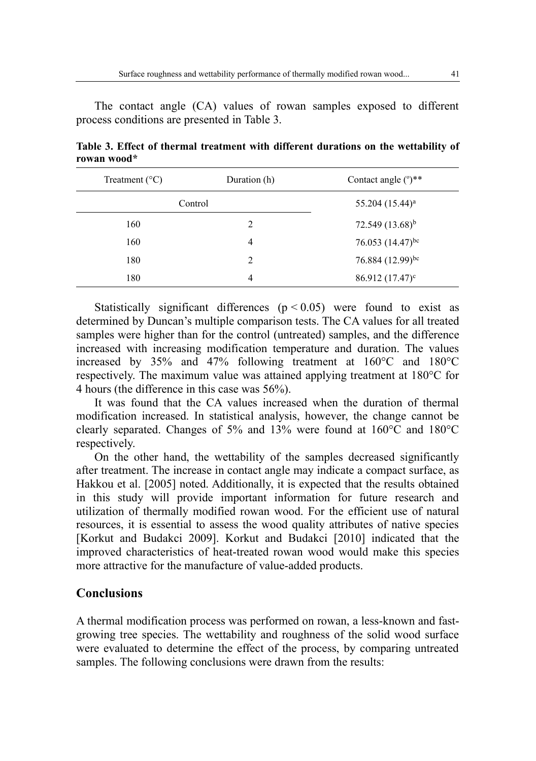The contact angle (CA) values of rowan samples exposed to different process conditions are presented in Table 3.

| Treatment $(^{\circ}C)$ | Duration (h) | Contact angle $(°)$ <sup>**</sup> |
|-------------------------|--------------|-----------------------------------|
|                         | Control      | $55.204 (15.44)^a$                |
| 160                     | 2            | 72.549 $(13.68)^{b}$              |
| 160                     | 4            | 76.053 $(14.47)^{bc}$             |
| 180                     | 2            | 76.884 (12.99)bc                  |
| 180                     | 4            | $86.912(17.47)^c$                 |

**Table 3. Effect of thermal treatment with different durations on the wettability of rowan wood\***

Statistically significant differences  $(p < 0.05)$  were found to exist as determined by Duncan's multiple comparison tests. The CA values for all treated samples were higher than for the control (untreated) samples, and the difference increased with increasing modification temperature and duration. The values increased by 35% and 47% following treatment at 160°C and 180°C respectively. The maximum value was attained applying treatment at 180°C for 4 hours (the difference in this case was 56%).

It was found that the CA values increased when the duration of thermal modification increased. In statistical analysis, however, the change cannot be clearly separated. Changes of 5% and 13% were found at 160°C and 180°C respectively.

On the other hand, the wettability of the samples decreased significantly after treatment. The increase in contact angle may indicate a compact surface, as Hakkou et al. [2005] noted. Additionally, it is expected that the results obtained in this study will provide important information for future research and utilization of thermally modified rowan wood. For the efficient use of natural resources, it is essential to assess the wood quality attributes of native species [Korkut and Budakci 2009]. Korkut and Budakci [2010] indicated that the improved characteristics of heat-treated rowan wood would make this species more attractive for the manufacture of value-added products.

## **Conclusions**

A thermal modification process was performed on rowan, a less-known and fastgrowing tree species. The wettability and roughness of the solid wood surface were evaluated to determine the effect of the process, by comparing untreated samples. The following conclusions were drawn from the results: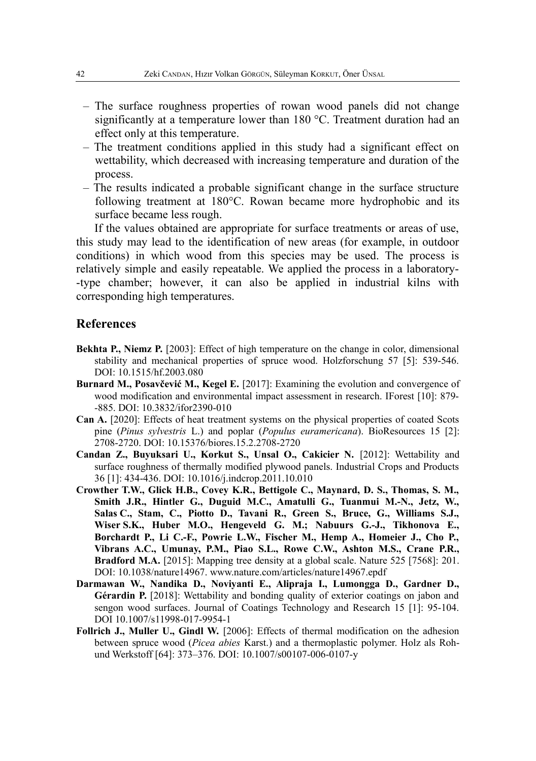- The surface roughness properties of rowan wood panels did not change significantly at a temperature lower than 180 °C. Treatment duration had an effect only at this temperature.
- The treatment conditions applied in this study had a significant effect on wettability, which decreased with increasing temperature and duration of the process.
- The results indicated a probable significant change in the surface structure following treatment at 180°C. Rowan became more hydrophobic and its surface became less rough.

If the values obtained are appropriate for surface treatments or areas of use, this study may lead to the identification of new areas (for example, in outdoor conditions) in which wood from this species may be used. The process is relatively simple and easily repeatable. We applied the process in a laboratory- -type chamber; however, it can also be applied in industrial kilns with corresponding high temperatures.

#### **References**

- **Bekhta P., Niemz P.** [2003]: Effect of high temperature on the change in color, dimensional stability and mechanical properties of spruce wood. Holzforschung 57 [5]: 539-546. DOI: 10.1515/hf.2003.080
- **Burnard M., Posavčević M., Kegel E.** [2017]: Examining the evolution and convergence of wood modification and environmental impact assessment in research. IForest [10]: 879- -885. DOI: 10.3832/ifor2390-010
- **Can A.** [2020]: Effects of heat treatment systems on the physical properties of coated Scots pine (*Pinus sylvestris* L.) and poplar (*Populus euramericana*). BioResources 15 [2]: 2708-2720. DOI: 10.15376/biores.15.2.2708-2720
- **Candan Z., Buyuksari U., Korkut S., Unsal O., Cakicier N.** [2012]: Wettability and surface roughness of thermally modified plywood panels. Industrial Crops and Products 36 [1]: 434-436. DOI: 10.1016/j.indcrop.2011.10.010
- **Crowther T.W., Glick H.B., Covey K.R., Bettigole C., Maynard, D. S., Thomas, S. M., Smith J.R., Hintler G., Duguid M.C., Amatulli G., Tuanmui M.-N., Jetz, W., Salas C., Stam, C., Piotto D., Tavani R., Green S., Bruce, G., Williams S.J., Wiser S.K., Huber M.O., Hengeveld G. M.; Nabuurs G.-J., Tikhonova E., Borchardt P., Li C.-F., Powrie L.W., Fischer M., Hemp A., Homeier J., Cho P., Vibrans A.C., Umunay, P.M., Piao S.L., Rowe C.W., Ashton M.S., Crane P.R., Bradford M.A.** [2015]: Mapping tree density at a global scale. Nature 525 [7568]: 201. DOI: 10.1038/nature14967. www.nature.com/articles/nature14967.epdf
- **Darmawan W., Nandika D., Noviyanti E., Alipraja I., Lumongga D., Gardner D., Gérardin P.** [2018]: Wettability and bonding quality of exterior coatings on jabon and sengon wood surfaces. Journal of Coatings Technology and Research 15 [1]: 95-104. DOI 10.1007/s11998-017-9954-1
- **Follrich J., Muller U., Gindl W.** [2006]: Effects of thermal modification on the adhesion between spruce wood (*Picea abies* Karst.) and a thermoplastic polymer. Holz als Rohund Werkstoff [64]: 373–376. DOI: 10.1007/s00107-006-0107-y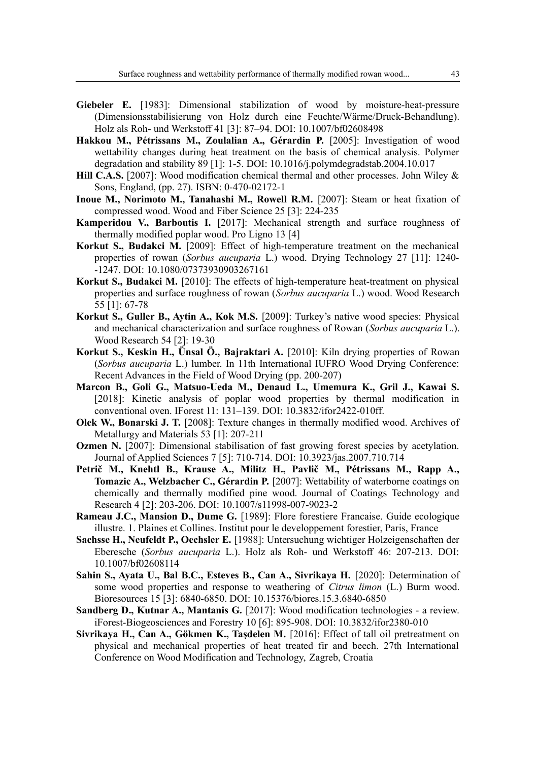- **Giebeler E.** [1983]: Dimensional stabilization of wood by moisture-heat-pressure (Dimensionsstabilisierung von Holz durch eine Feuchte/Wärme/Druck-Behandlung). Holz als Roh- und Werkstoff 41 [3]: 87–94. DOI: 10.1007/bf02608498
- **Hakkou M., Pétrissans M., Zoulalian A., Gérardin P.** [2005]: Investigation of wood wettability changes during heat treatment on the basis of chemical analysis. Polymer degradation and stability 89 [1]: 1-5. DOI: 10.1016/j.polymdegradstab.2004.10.017
- **Hill C.A.S.** [2007]: Wood modification chemical thermal and other processes. John Wiley & Sons, England, (pp. 27). ISBN: 0-470-02172-1
- **Inoue M., Norimoto M., Tanahashi M., Rowell R.M.** [2007]: Steam or heat fixation of compressed wood. Wood and Fiber Science 25 [3]: 224-235
- **Kamperidou V., Barboutis I.** [2017]: Mechanical strength and surface roughness of thermally modified poplar wood. Pro Ligno 13 [4]
- **Korkut S., Budakci M.** [2009]: Effect of high-temperature treatment on the mechanical properties of rowan (*Sorbus aucuparia* L.) wood. Drying Technology 27 [11]: 1240- -1247. DOI: 10.1080/07373930903267161
- **Korkut S., Budakci M.** [2010]: The effects of high-temperature heat-treatment on physical properties and surface roughness of rowan (*Sorbus aucuparia* L.) wood. Wood Research 55 [1]: 67-78
- **Korkut S., Guller B., Aytin A., Kok M.S.** [2009]: Turkey's native wood species: Physical and mechanical characterization and surface roughness of Rowan (*Sorbus aucuparia* L.). Wood Research 54 [2]: 19-30
- **Korkut S., Keskin H., Ünsal Ö., Bajraktari A.** [2010]: Kiln drying properties of Rowan (*Sorbus aucuparia* L.) lumber. In 11th International IUFRO Wood Drying Conference: Recent Advances in the Field of Wood Drying (pp. 200-207)
- **Marcon B., Goli G., Matsuo-Ueda M., Denaud L., Umemura K., Gril J., Kawai S.** [2018]: Kinetic analysis of poplar wood properties by thermal modification in conventional oven. IForest 11: 131–139. DOI: 10.3832/ifor2422-010ff.
- **Olek W., Bonarski J. T.** [2008]: Texture changes in thermally modified wood. Archives of Metallurgy and Materials 53 [1]: 207-211
- **Ozmen N.** [2007]: Dimensional stabilisation of fast growing forest species by acetylation. Journal of Applied Sciences 7 [5]: 710-714. DOI: 10.3923/jas.2007.710.714
- **Petrič M., Knehtl B., Krause A., Militz H., Pavlič M., Pétrissans M., Rapp A., Tomazic A., Welzbacher C., Gérardin P.** [2007]: Wettability of waterborne coatings on chemically and thermally modified pine wood. Journal of Coatings Technology and Research 4 [2]: 203-206. DOI: 10.1007/s11998-007-9023-2
- **Rameau J.C., Mansion D., Dume G.** [1989]: Flore forestiere Francaise. Guide ecologique illustre. 1. Plaines et Collines. Institut pour le developpement forestier, Paris, France
- **Sachsse H., Neufeldt P., Oechsler E.** [1988]: Untersuchung wichtiger Holzeigenschaften der Eberesche (*Sorbus aucuparia* L.). Holz als Roh- und Werkstoff 46: 207-213. DOI: 10.1007/bf02608114
- Sahin S., Ayata U., Bal B.C., Esteves B., Can A., Sivrikaya H. [2020]: Determination of some wood properties and response to weathering of *Citrus limon* (L.) Burm wood. Bioresources 15 [3]: 6840-6850. DOI: 10.15376/biores.15.3.6840-6850
- **Sandberg D., Kutnar A., Mantanis G.** [2017]: Wood modification technologies a review. iForest-Biogeosciences and Forestry 10 [6]: 895-908. DOI: 10.3832/ifor2380-010
- **Sivrikaya H., Can A., Gökmen K., Taşdelen M.** [2016]: Effect of tall oil pretreatment on physical and mechanical properties of heat treated fir and beech. 27th International Conference on Wood Modification and Technology, Zagreb, Croatia